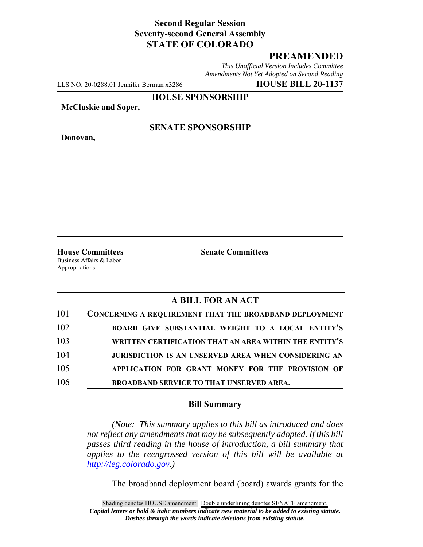## **Second Regular Session Seventy-second General Assembly STATE OF COLORADO**

# **PREAMENDED**

*This Unofficial Version Includes Committee Amendments Not Yet Adopted on Second Reading*

LLS NO. 20-0288.01 Jennifer Berman x3286 **HOUSE BILL 20-1137**

**HOUSE SPONSORSHIP**

**McCluskie and Soper,**

**Donovan,**

#### **SENATE SPONSORSHIP**

Business Affairs & Labor Appropriations

**House Committees Senate Committees** 

## **A BILL FOR AN ACT**

| 101 | <b>CONCERNING A REQUIREMENT THAT THE BROADBAND DEPLOYMENT</b> |
|-----|---------------------------------------------------------------|
| 102 | BOARD GIVE SUBSTANTIAL WEIGHT TO A LOCAL ENTITY'S             |
| 103 | WRITTEN CERTIFICATION THAT AN AREA WITHIN THE ENTITY'S        |
| 104 | <b>JURISDICTION IS AN UNSERVED AREA WHEN CONSIDERING AN</b>   |
| 105 | APPLICATION FOR GRANT MONEY FOR THE PROVISION OF              |
| 106 | <b>BROADBAND SERVICE TO THAT UNSERVED AREA.</b>               |

### **Bill Summary**

*(Note: This summary applies to this bill as introduced and does not reflect any amendments that may be subsequently adopted. If this bill passes third reading in the house of introduction, a bill summary that applies to the reengrossed version of this bill will be available at http://leg.colorado.gov.)*

The broadband deployment board (board) awards grants for the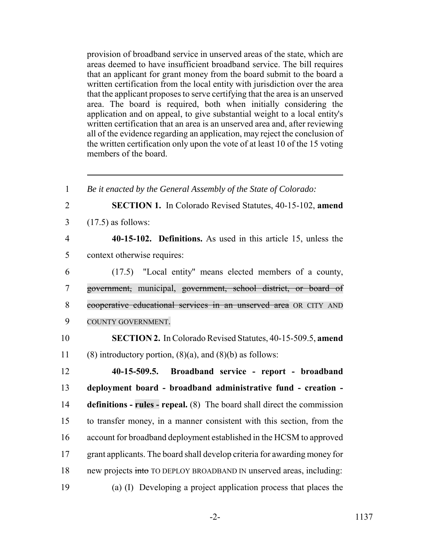provision of broadband service in unserved areas of the state, which are areas deemed to have insufficient broadband service. The bill requires that an applicant for grant money from the board submit to the board a written certification from the local entity with jurisdiction over the area that the applicant proposes to serve certifying that the area is an unserved area. The board is required, both when initially considering the application and on appeal, to give substantial weight to a local entity's written certification that an area is an unserved area and, after reviewing all of the evidence regarding an application, may reject the conclusion of the written certification only upon the vote of at least 10 of the 15 voting members of the board.

 *Be it enacted by the General Assembly of the State of Colorado:* **SECTION 1.** In Colorado Revised Statutes, 40-15-102, **amend** (17.5) as follows: **40-15-102. Definitions.** As used in this article 15, unless the context otherwise requires: (17.5) "Local entity" means elected members of a county, government, municipal, government, school district, or board of cooperative educational services in an unserved area OR CITY AND COUNTY GOVERNMENT. **SECTION 2.** In Colorado Revised Statutes, 40-15-509.5, **amend** 11 (8) introductory portion,  $(8)(a)$ , and  $(8)(b)$  as follows: **40-15-509.5. Broadband service - report - broadband deployment board - broadband administrative fund - creation - definitions - rules - repeal.** (8) The board shall direct the commission to transfer money, in a manner consistent with this section, from the account for broadband deployment established in the HCSM to approved grant applicants. The board shall develop criteria for awarding money for 18 new projects into TO DEPLOY BROADBAND IN unserved areas, including: (a) (I) Developing a project application process that places the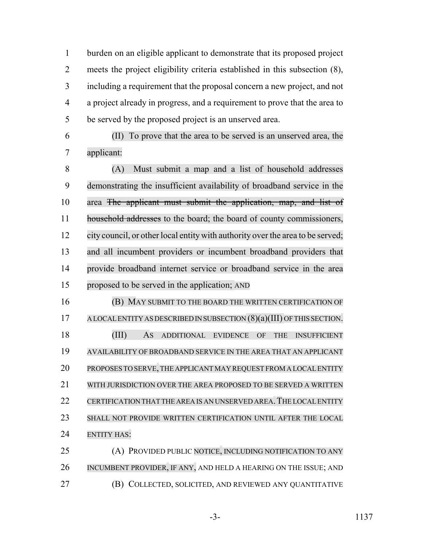burden on an eligible applicant to demonstrate that its proposed project meets the project eligibility criteria established in this subsection (8), including a requirement that the proposal concern a new project, and not a project already in progress, and a requirement to prove that the area to be served by the proposed project is an unserved area.

 (II) To prove that the area to be served is an unserved area, the applicant:

 (A) Must submit a map and a list of household addresses demonstrating the insufficient availability of broadband service in the area The applicant must submit the application, map, and list of 11 household addresses to the board; the board of county commissioners, city council, or other local entitywith authority over the area to be served; and all incumbent providers or incumbent broadband providers that provide broadband internet service or broadband service in the area proposed to be served in the application; AND

 (B) MAY SUBMIT TO THE BOARD THE WRITTEN CERTIFICATION OF 17 A LOCAL ENTITY AS DESCRIBED IN SUBSECTION (8)(a)(III) OF THIS SECTION. (III) AS ADDITIONAL EVIDENCE OF THE INSUFFICIENT AVAILABILITY OF BROADBAND SERVICE IN THE AREA THAT AN APPLICANT PROPOSES TO SERVE,THE APPLICANT MAY REQUEST FROM A LOCAL ENTITY WITH JURISDICTION OVER THE AREA PROPOSED TO BE SERVED A WRITTEN 22 CERTIFICATION THAT THE AREA IS AN UNSERVED AREA. THE LOCAL ENTITY SHALL NOT PROVIDE WRITTEN CERTIFICATION UNTIL AFTER THE LOCAL ENTITY HAS:

 (A) PROVIDED PUBLIC NOTICE, INCLUDING NOTIFICATION TO ANY INCUMBENT PROVIDER, IF ANY, AND HELD A HEARING ON THE ISSUE; AND (B) COLLECTED, SOLICITED, AND REVIEWED ANY QUANTITATIVE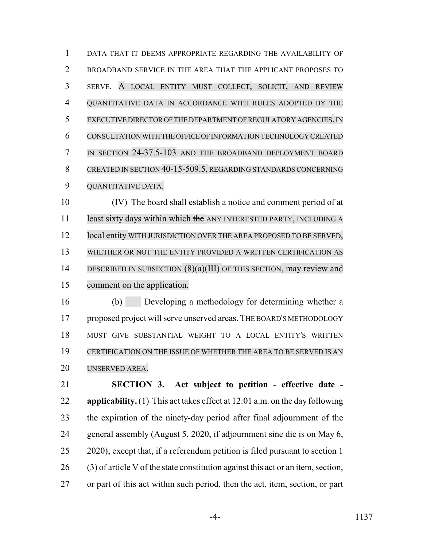DATA THAT IT DEEMS APPROPRIATE REGARDING THE AVAILABILITY OF BROADBAND SERVICE IN THE AREA THAT THE APPLICANT PROPOSES TO SERVE. A LOCAL ENTITY MUST COLLECT, SOLICIT, AND REVIEW QUANTITATIVE DATA IN ACCORDANCE WITH RULES ADOPTED BY THE EXECUTIVE DIRECTOR OF THE DEPARTMENT OF REGULATORY AGENCIES,IN CONSULTATION WITH THE OFFICE OF INFORMATION TECHNOLOGY CREATED IN SECTION 24-37.5-103 AND THE BROADBAND DEPLOYMENT BOARD CREATED IN SECTION 40-15-509.5, REGARDING STANDARDS CONCERNING QUANTITATIVE DATA.

 (IV) The board shall establish a notice and comment period of at 11 least sixty days within which the ANY INTERESTED PARTY, INCLUDING A 12 local entity WITH JURISDICTION OVER THE AREA PROPOSED TO BE SERVED, WHETHER OR NOT THE ENTITY PROVIDED A WRITTEN CERTIFICATION AS 14 DESCRIBED IN SUBSECTION (8)(a)(III) OF THIS SECTION, may review and comment on the application.

 (b) Developing a methodology for determining whether a proposed project will serve unserved areas. THE BOARD'S METHODOLOGY MUST GIVE SUBSTANTIAL WEIGHT TO A LOCAL ENTITY'S WRITTEN CERTIFICATION ON THE ISSUE OF WHETHER THE AREA TO BE SERVED IS AN UNSERVED AREA.

 **SECTION 3. Act subject to petition - effective date - applicability.** (1) This act takes effect at 12:01 a.m. on the day following the expiration of the ninety-day period after final adjournment of the general assembly (August 5, 2020, if adjournment sine die is on May 6, 2020); except that, if a referendum petition is filed pursuant to section 1 (3) of article V of the state constitution against this act or an item, section, or part of this act within such period, then the act, item, section, or part